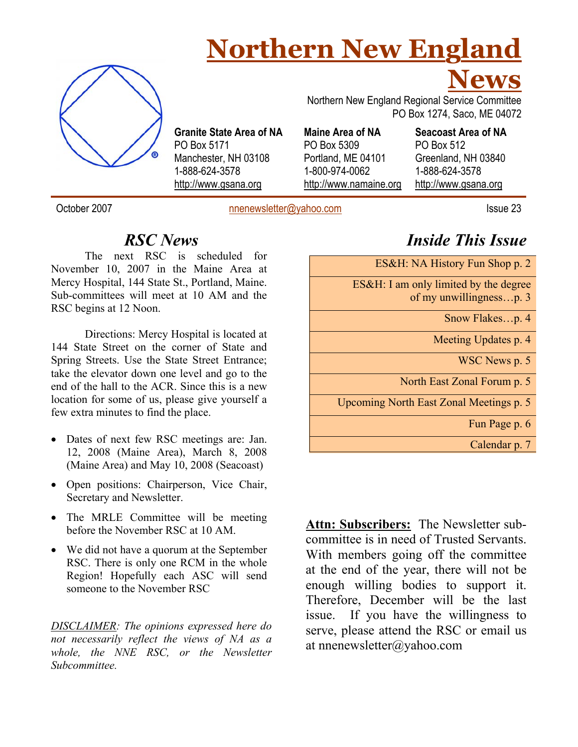## **Northern New England**



**Granite State Area of NA**  PO Box 5171 Manchester, NH 03108 1-888-624-3578 http://www.gsana.org

 PO Box 1274, Saco, ME 04072 **Maine Area of NA**  PO Box 5309 Portland, ME 04101 1-800-974-0062

http://www.namaine.org

Northern New England Regional Service Committee

**Seacoast Area of NA**  PO Box 512 Greenland, NH 03840 1-888-624-3578 http://www.gsana.org

**News**

October 2007 **nnenewsletter@yahoo.com** Issue 23

*RSC News* 

The next RSC is scheduled for November 10, 2007 in the Maine Area at Mercy Hospital, 144 State St., Portland, Maine. Sub-committees will meet at 10 AM and the RSC begins at 12 Noon.

Directions: Mercy Hospital is located at 144 State Street on the corner of State and Spring Streets. Use the State Street Entrance; take the elevator down one level and go to the end of the hall to the ACR. Since this is a new location for some of us, please give yourself a few extra minutes to find the place.

- Dates of next few RSC meetings are: Jan. 12, 2008 (Maine Area), March 8, 2008 (Maine Area) and May 10, 2008 (Seacoast)
- Open positions: Chairperson, Vice Chair, Secretary and Newsletter.
- The MRLE Committee will be meeting before the November RSC at 10 AM.
- We did not have a quorum at the September RSC. There is only one RCM in the whole Region! Hopefully each ASC will send someone to the November RSC

*DISCLAIMER: The opinions expressed here do not necessarily reflect the views of NA as a whole, the NNE RSC, or the Newsletter Subcommittee.* 

*Inside This Issue* 

ES&H: NA History Fun Shop p. 2

ES&H: I am only limited by the degree

of my unwillingness…p. 3

Snow Flakes...p. 4

Meeting Updates p. 4

WSC News p. 5

North East Zonal Forum p. 5

Upcoming North East Zonal Meetings p. 5

Fun Page p. 6

Calendar p. 7

**Attn: Subscribers:** The Newsletter subcommittee is in need of Trusted Servants. With members going off the committee at the end of the year, there will not be enough willing bodies to support it. Therefore, December will be the last issue. If you have the willingness to serve, please attend the RSC or email us at nnenewsletter@yahoo.com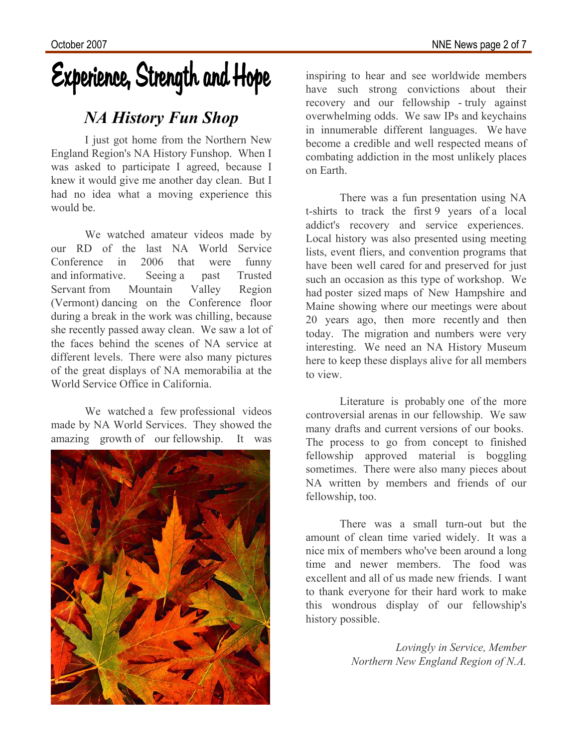# Experience, Strength and Hope

### *NA History Fun Shop*

I just got home from the Northern New England Region's NA History Funshop. When I was asked to participate I agreed, because I knew it would give me another day clean. But I had no idea what a moving experience this would be.

We watched amateur videos made by our RD of the last NA World Service Conference in 2006 that were funny and informative. Seeing a past Trusted Servant from Mountain Valley Region (Vermont) dancing on the Conference floor during a break in the work was chilling, because she recently passed away clean. We saw a lot of the faces behind the scenes of NA service at different levels. There were also many pictures of the great displays of NA memorabilia at the World Service Office in California.

We watched a few professional videos made by NA World Services. They showed the amazing growth of our fellowship. It was



inspiring to hear and see worldwide members have such strong convictions about their recovery and our fellowship - truly against overwhelming odds. We saw IPs and keychains in innumerable different languages. We have become a credible and well respected means of combating addiction in the most unlikely places on Earth.

There was a fun presentation using NA t-shirts to track the first 9 years of a local addict's recovery and service experiences. Local history was also presented using meeting lists, event fliers, and convention programs that have been well cared for and preserved for just such an occasion as this type of workshop. We had poster sized maps of New Hampshire and Maine showing where our meetings were about 20 years ago, then more recently and then today. The migration and numbers were very interesting. We need an NA History Museum here to keep these displays alive for all members to view.

Literature is probably one of the more controversial arenas in our fellowship. We saw many drafts and current versions of our books. The process to go from concept to finished fellowship approved material is boggling sometimes. There were also many pieces about NA written by members and friends of our fellowship, too.

There was a small turn-out but the amount of clean time varied widely. It was a nice mix of members who've been around a long time and newer members. The food was excellent and all of us made new friends. I want to thank everyone for their hard work to make this wondrous display of our fellowship's history possible.

> *Lovingly in Service, Member Northern New England Region of N.A.*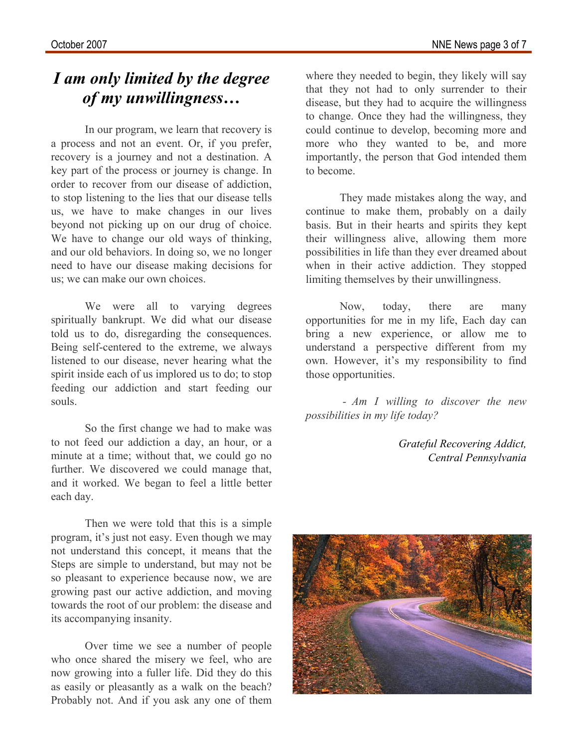### *I am only limited by the degree of my unwillingness…*

In our program, we learn that recovery is a process and not an event. Or, if you prefer, recovery is a journey and not a destination. A key part of the process or journey is change. In order to recover from our disease of addiction, to stop listening to the lies that our disease tells us, we have to make changes in our lives beyond not picking up on our drug of choice. We have to change our old ways of thinking, and our old behaviors. In doing so, we no longer need to have our disease making decisions for us; we can make our own choices.

We were all to varying degrees spiritually bankrupt. We did what our disease told us to do, disregarding the consequences. Being self-centered to the extreme, we always listened to our disease, never hearing what the spirit inside each of us implored us to do; to stop feeding our addiction and start feeding our souls.

So the first change we had to make was to not feed our addiction a day, an hour, or a minute at a time; without that, we could go no further. We discovered we could manage that, and it worked. We began to feel a little better each day.

Then we were told that this is a simple program, it's just not easy. Even though we may not understand this concept, it means that the Steps are simple to understand, but may not be so pleasant to experience because now, we are growing past our active addiction, and moving towards the root of our problem: the disease and its accompanying insanity.

Over time we see a number of people who once shared the misery we feel, who are now growing into a fuller life. Did they do this as easily or pleasantly as a walk on the beach? Probably not. And if you ask any one of them where they needed to begin, they likely will say that they not had to only surrender to their disease, but they had to acquire the willingness to change. Once they had the willingness, they could continue to develop, becoming more and more who they wanted to be, and more importantly, the person that God intended them to become.

They made mistakes along the way, and continue to make them, probably on a daily basis. But in their hearts and spirits they kept their willingness alive, allowing them more possibilities in life than they ever dreamed about when in their active addiction. They stopped limiting themselves by their unwillingness.

Now, today, there are many opportunities for me in my life, Each day can bring a new experience, or allow me to understand a perspective different from my own. However, it's my responsibility to find those opportunities.

 *- Am I willing to discover the new possibilities in my life today?* 

> *Grateful Recovering Addict, Central Pennsylvania*

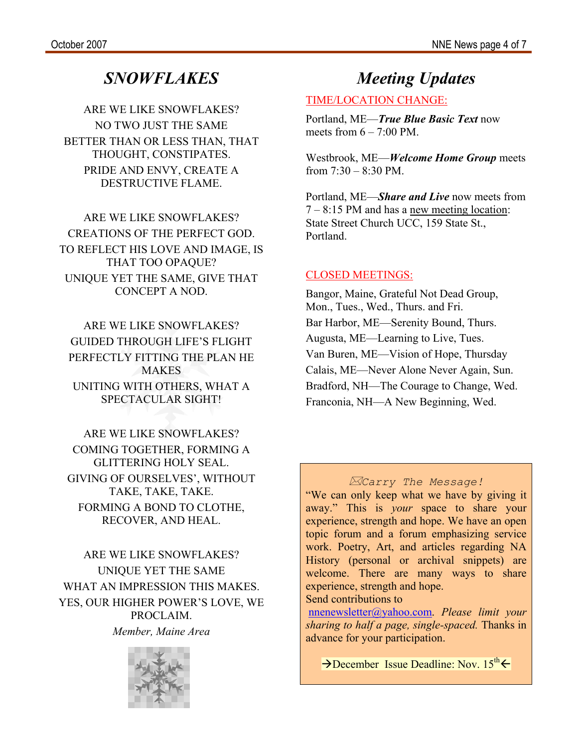### *SNOWFLAKES*

ARE WE LIKE SNOWFLAKES? NO TWO JUST THE SAME BETTER THAN OR LESS THAN, THAT THOUGHT, CONSTIPATES. PRIDE AND ENVY, CREATE A DESTRUCTIVE FLAME.

ARE WE LIKE SNOWFLAKES? CREATIONS OF THE PERFECT GOD. TO REFLECT HIS LOVE AND IMAGE, IS THAT TOO OPAQUE? UNIQUE YET THE SAME, GIVE THAT CONCEPT A NOD.

ARE WE LIKE SNOWFLAKES? GUIDED THROUGH LIFE'S FLIGHT PERFECTLY FITTING THE PLAN HE MAKES UNITING WITH OTHERS, WHAT A SPECTACULAR SIGHT!

ARE WE LIKE SNOWFLAKES? COMING TOGETHER, FORMING A GLITTERING HOLY SEAL. GIVING OF OURSELVES', WITHOUT TAKE, TAKE, TAKE. FORMING A BOND TO CLOTHE, RECOVER, AND HEAL.

ARE WE LIKE SNOWFLAKES? UNIQUE YET THE SAME WHAT AN IMPRESSION THIS MAKES. YES, OUR HIGHER POWER'S LOVE, WE PROCLAIM.

*Member, Maine Area* 



### *Meeting Updates*

#### TIME/LOCATION CHANGE:

Portland, ME—*True Blue Basic Text* now meets from  $6 - 7:00$  PM.

Westbrook, ME—*Welcome Home Group* meets from  $7:30 - 8:30$  PM.

Portland, ME—*Share and Live* now meets from 7 – 8:15 PM and has a new meeting location: State Street Church UCC, 159 State St., Portland.

#### CLOSED MEETINGS:

Bangor, Maine, Grateful Not Dead Group, Mon., Tues., Wed., Thurs. and Fri. Bar Harbor, ME—Serenity Bound, Thurs. Augusta, ME—Learning to Live, Tues. Van Buren, ME—Vision of Hope, Thursday Calais, ME—Never Alone Never Again, Sun. Bradford, NH—The Courage to Change, Wed. Franconia, NH—A New Beginning, Wed.

#### *Carry The Message!*

"We can only keep what we have by giving it away." This is *your* space to share your experience, strength and hope. We have an open topic forum and a forum emphasizing service work. Poetry, Art, and articles regarding NA History (personal or archival snippets) are welcome. There are many ways to share experience, strength and hope.

Send contributions to

nnenewsletter@yahoo.com. *Please limit your sharing to half a page, single-spaced.* Thanks in advance for your participation.

 $\rightarrow$  December Issue Deadline: Nov. 15<sup>th</sup> $\leftarrow$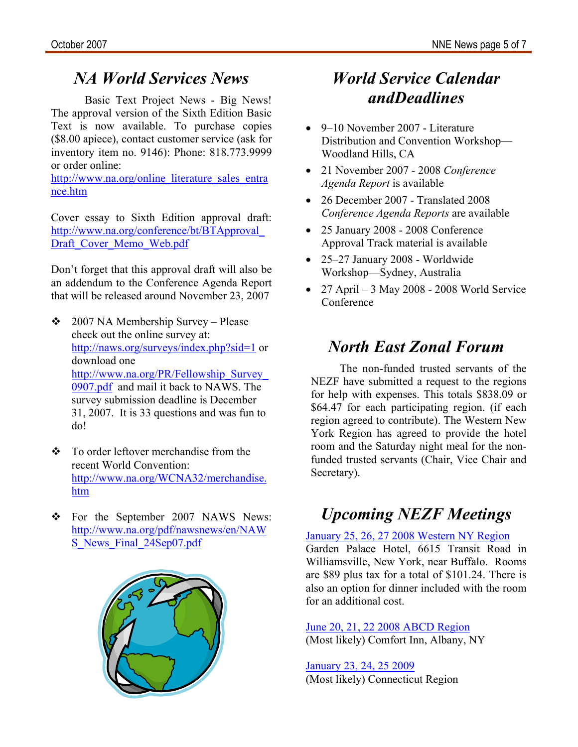## *NA World Services News*

Basic Text Project News - Big News! The approval version of the Sixth Edition Basic Text is now available. To purchase copies (\$8.00 apiece), contact customer service (ask for inventory item no. 9146): Phone: 818.773.9999 or order online:

http://www.na.org/online\_literature\_sales\_entra nce.htm

Cover essay to Sixth Edition approval draft: http://www.na.org/conference/bt/BTApproval\_ Draft Cover Memo Web.pdf

Don't forget that this approval draft will also be an addendum to the Conference Agenda Report that will be released around November 23, 2007

- 2007 NA Membership Survey Please check out the online survey at: http://naws.org/surveys/index.php?sid=1 or download one http://www.na.org/PR/Fellowship\_Survey\_ 0907.pdf and mail it back to NAWS. The survey submission deadline is December 31, 2007. It is 33 questions and was fun to do!
- To order leftover merchandise from the recent World Convention: http://www.na.org/WCNA32/merchandise. htm
- \* For the September 2007 NAWS News: http://www.na.org/pdf/nawsnews/en/NAW S News Final 24Sep07.pdf



### *World Service Calendar andDeadlines*

- 9–10 November 2007 Literature Distribution and Convention Workshop— Woodland Hills, CA
- 21 November 2007 2008 *Conference Agenda Report* is available
- 26 December 2007 Translated 2008 *Conference Agenda Reports* are available
- 25 January 2008 2008 Conference Approval Track material is available
- 25–27 January 2008 Worldwide Workshop—Sydney, Australia
- 27 April 3 May 2008 2008 World Service Conference

### *North East Zonal Forum*

The non-funded trusted servants of the NEZF have submitted a request to the regions for help with expenses. This totals \$838.09 or \$64.47 for each participating region. (if each region agreed to contribute). The Western New York Region has agreed to provide the hotel room and the Saturday night meal for the nonfunded trusted servants (Chair, Vice Chair and Secretary).

## *Upcoming NEZF Meetings*

January 25, 26, 27 2008 Western NY Region Garden Palace Hotel, 6615 Transit Road in Williamsville, New York, near Buffalo. Rooms

are \$89 plus tax for a total of \$101.24. There is also an option for dinner included with the room for an additional cost.

June 20, 21, 22 2008 ABCD Region (Most likely) Comfort Inn, Albany, NY

January 23, 24, 25 2009 (Most likely) Connecticut Region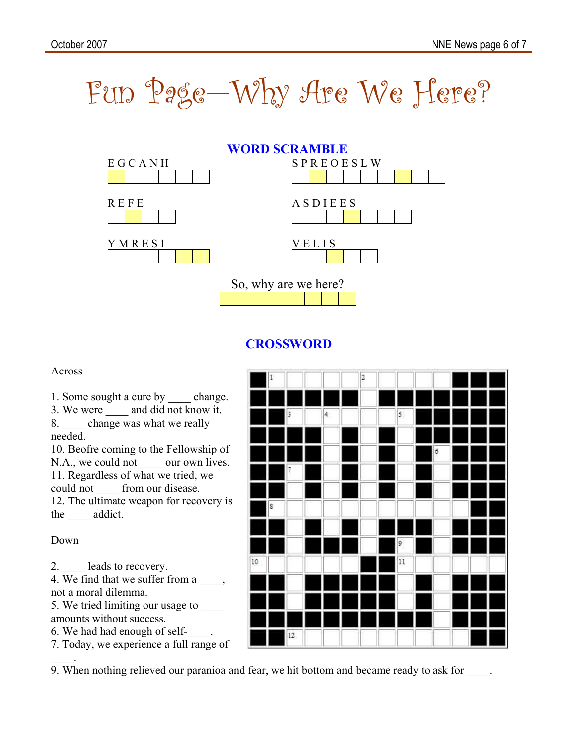



### **CROSSWORD**

Across

1. Some sought a cure by \_\_\_\_\_\_ change.

3. We were and did not know it. 8. change was what we really needed.

10. Beofre coming to the Fellowship of N.A., we could not \_\_\_\_\_ our own lives. 11. Regardless of what we tried, we could not from our disease. 12. The ultimate weapon for recovery is

the addict.

Down

2. leads to recovery.

4. We find that we suffer from a \_\_\_\_, not a moral dilemma.

5. We tried limiting our usage to amounts without success.

6. We had had enough of self-\_\_\_\_.

7. Today, we experience a full range of

 $\mathbb{Z}^{\mathbb{Z}}$ 9. When nothing relieved our paranioa and fear, we hit bottom and became ready to ask for  $\qquad$ .